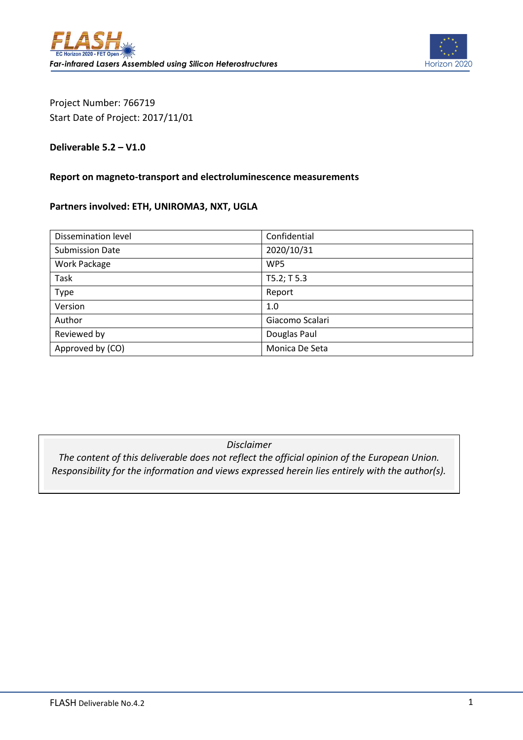

Project Number: 766719 Start Date of Project: 2017/11/01

### **Deliverable 5.2 – V1.0**

#### **Report on magneto-transport and electroluminescence measurements**

### **Partners involved: ETH, UNIROMA3, NXT, UGLA**

| Dissemination level    | Confidential    |
|------------------------|-----------------|
| <b>Submission Date</b> | 2020/10/31      |
| Work Package           | WP5             |
| Task                   | T5.2; T5.3      |
| Type                   | Report          |
| Version                | 1.0             |
| Author                 | Giacomo Scalari |
| Reviewed by            | Douglas Paul    |
| Approved by (CO)       | Monica De Seta  |

### *Disclaimer*

*The content of this deliverable does not reflect the official opinion of the European Union. Responsibility for the information and views expressed herein lies entirely with the author(s).*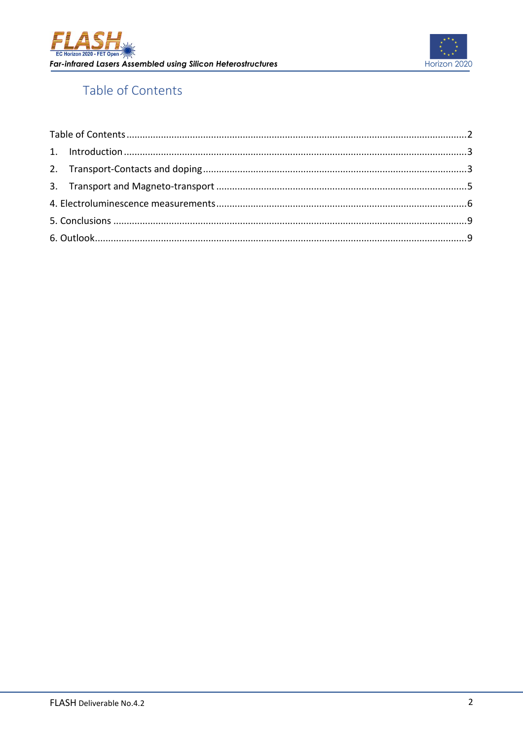



# <span id="page-1-0"></span>Table of Contents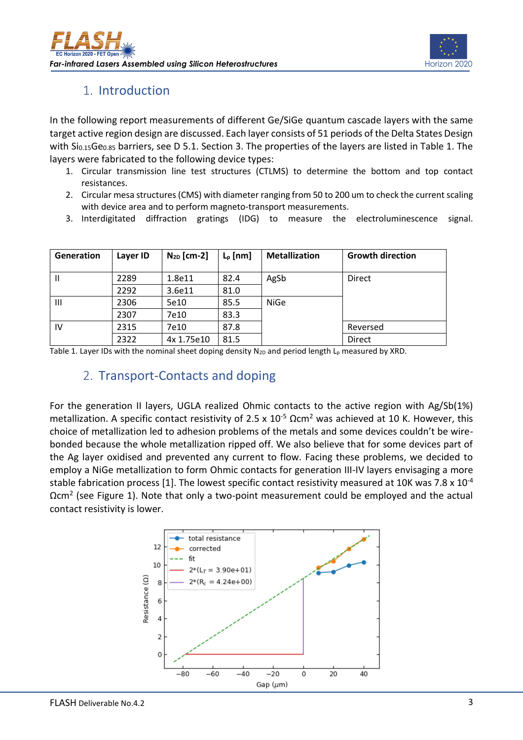

## 1. Introduction

<span id="page-2-0"></span>In the following report measurements of different Ge/SiGe quantum cascade layers with the same target active region design are discussed. Each layer consists of 51 periods of the Delta States Design with Si<sub>0.15</sub>Ge<sub>0.85</sub> barriers, see D 5.1. Section 3. The properties of the layers are listed in Table 1. The layers were fabricated to the following device types:

- 1. Circular transmission line test structures (CTLMS) to determine the bottom and top contact resistances.
- 2. Circular mesa structures (CMS) with diameter ranging from 50 to 200 um to check the current scaling with device area and to perform magneto-transport measurements.
- 3. Interdigitated diffraction gratings (IDG) to measure the electroluminescence signal.

| Generation | Layer ID | $N_{2D}$ [cm-2] | $L_p$ [nm] | <b>Metallization</b> | <b>Growth direction</b> |
|------------|----------|-----------------|------------|----------------------|-------------------------|
| Ш          | 2289     | 1.8e11          | 82.4       | AgSb                 | <b>Direct</b>           |
|            | 2292     | 3.6e11          | 81.0       |                      |                         |
| Ш          | 2306     | 5e10            | 85.5       | <b>NiGe</b>          |                         |
|            | 2307     | 7e10            | 83.3       |                      |                         |
| IV         | 2315     | 7e10            | 87.8       |                      | Reversed                |
|            | 2322     | 4x 1.75e10      | 81.5       |                      | <b>Direct</b>           |

<span id="page-2-1"></span>Table 1. Layer IDs with the nominal sheet doping density  $N_{2D}$  and period length  $L_p$  measured by XRD.

## 2. Transport-Contacts and doping

For the generation II layers, UGLA realized Ohmic contacts to the active region with Ag/Sb(1%) metallization. A specific contact resistivity of 2.5 x  $10^{-5}$   $\Omega$ cm<sup>2</sup> was achieved at 10 K. However, this choice of metallization led to adhesion problems of the metals and some devices couldn't be wirebonded because the whole metallization ripped off. We also believe that for some devices part of the Ag layer oxidised and prevented any current to flow. Facing these problems, we decided to employ a NiGe metallization to form Ohmic contacts for generation III-IV layers envisaging a more stable fabrication process [1]. The lowest specific contact resistivity measured at 10K was 7.8  $\times$  10<sup>-4</sup>  $\Omega$ cm<sup>2</sup> (see Figure 1). Note that only a two-point measurement could be employed and the actual contact resistivity is lower.

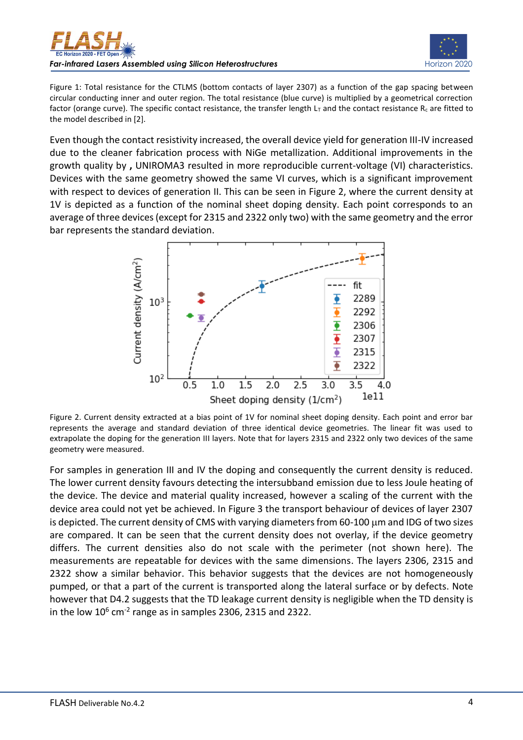



Figure 1: Total resistance for the CTLMS (bottom contacts of layer 2307) as a function of the gap spacing between circular conducting inner and outer region. The total resistance (blue curve) is multiplied by a geometrical correction factor (orange curve). The specific contact resistance, the transfer length  $L_T$  and the contact resistance R<sub>c</sub> are fitted to the model described in [2].

Even though the contact resistivity increased, the overall device yield for generation III-IV increased due to the cleaner fabrication process with NiGe metallization. Additional improvements in the growth quality by **,** UNIROMA3 resulted in more reproducible current-voltage (VI) characteristics. Devices with the same geometry showed the same VI curves, which is a significant improvement with respect to devices of generation II. This can be seen in Figure 2, where the current density at 1V is depicted as a function of the nominal sheet doping density. Each point corresponds to an average of three devices (except for 2315 and 2322 only two) with the same geometry and the error bar represents the standard deviation.



Figure 2. Current density extracted at a bias point of 1V for nominal sheet doping density. Each point and error bar represents the average and standard deviation of three identical device geometries. The linear fit was used to extrapolate the doping for the generation III layers. Note that for layers 2315 and 2322 only two devices of the same geometry were measured.

For samples in generation III and IV the doping and consequently the current density is reduced. The lower current density favours detecting the intersubband emission due to less Joule heating of the device. The device and material quality increased, however a scaling of the current with the device area could not yet be achieved. In Figure 3 the transport behaviour of devices of layer 2307 is depicted. The current density of CMS with varying diameters from 60-100  $\mu$ m and IDG of two sizes are compared. It can be seen that the current density does not overlay, if the device geometry differs. The current densities also do not scale with the perimeter (not shown here). The measurements are repeatable for devices with the same dimensions. The layers 2306, 2315 and 2322 show a similar behavior. This behavior suggests that the devices are not homogeneously pumped, or that a part of the current is transported along the lateral surface or by defects. Note however that D4.2 suggests that the TD leakage current density is negligible when the TD density is in the low  $10^6$  cm<sup>-2</sup> range as in samples 2306, 2315 and 2322.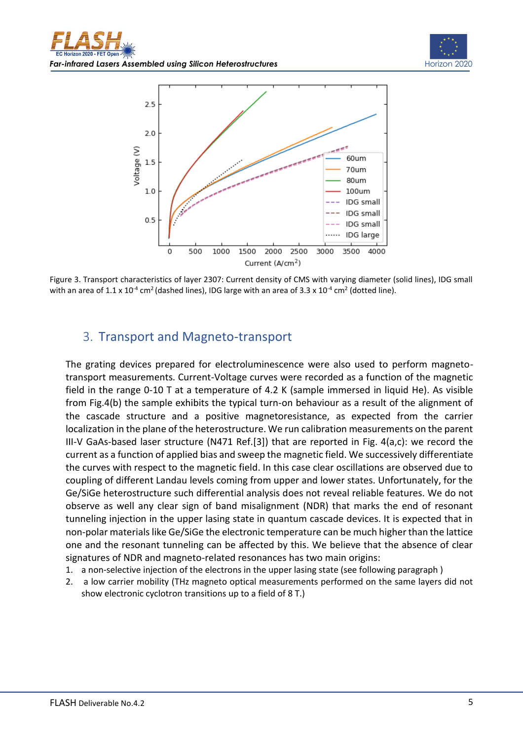



Figure 3. Transport characteristics of layer 2307: Current density of CMS with varying diameter (solid lines), IDG small with an area of 1.1 x 10<sup>-4</sup> cm<sup>2</sup> (dashed lines), IDG large with an area of 3.3 x 10<sup>-4</sup> cm<sup>2</sup> (dotted line).

## <span id="page-4-0"></span>3. Transport and Magneto-transport

The grating devices prepared for electroluminescence were also used to perform magnetotransport measurements. Current-Voltage curves were recorded as a function of the magnetic field in the range 0-10 T at a temperature of 4.2 K (sample immersed in liquid He). As visible from Fig.4(b) the sample exhibits the typical turn-on behaviour as a result of the alignment of the cascade structure and a positive magnetoresistance, as expected from the carrier localization in the plane of the heterostructure. We run calibration measurements on the parent III-V GaAs-based laser structure (N471 Ref.[3]) that are reported in Fig. 4(a,c): we record the current as a function of applied bias and sweep the magnetic field. We successively differentiate the curves with respect to the magnetic field. In this case clear oscillations are observed due to coupling of different Landau levels coming from upper and lower states. Unfortunately, for the Ge/SiGe heterostructure such differential analysis does not reveal reliable features. We do not observe as well any clear sign of band misalignment (NDR) that marks the end of resonant tunneling injection in the upper lasing state in quantum cascade devices. It is expected that in non-polar materials like Ge/SiGe the electronic temperature can be much higher than the lattice one and the resonant tunneling can be affected by this. We believe that the absence of clear signatures of NDR and magneto-related resonances has two main origins:

- 1. a non-selective injection of the electrons in the upper lasing state (see following paragraph )
- 2. a low carrier mobility (THz magneto optical measurements performed on the same layers did not show electronic cyclotron transitions up to a field of 8 T.)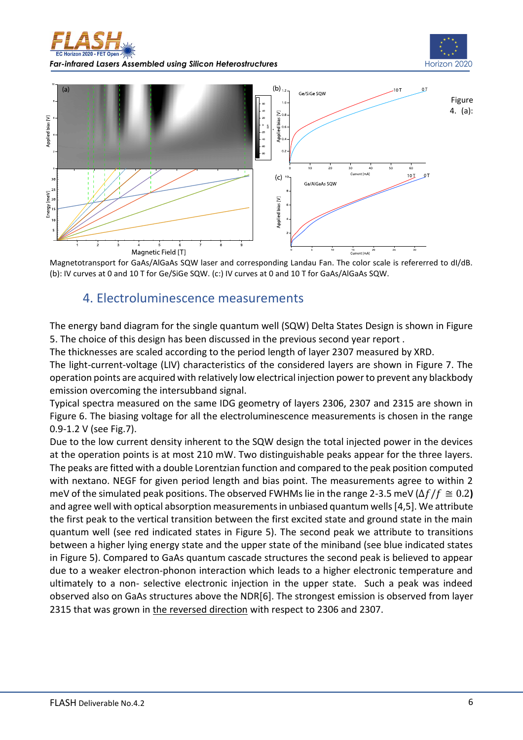





<span id="page-5-0"></span>Magnetotransport for GaAs/AlGaAs SQW laser and corresponding Landau Fan. The color scale is refererred to dI/dB. (b): IV curves at 0 and 10 T for Ge/SiGe SQW. (c:) IV curves at 0 and 10 T for GaAs/AlGaAs SQW.

## 4. Electroluminescence measurements

The energy band diagram for the single quantum well (SQW) Delta States Design is shown in Figure 5. The choice of this design has been discussed in the previous second year report .

The thicknesses are scaled according to the period length of layer 2307 measured by XRD.

The light-current-voltage (LIV) characteristics of the considered layers are shown in Figure 7. The operation points are acquired with relatively low electrical injection power to prevent any blackbody emission overcoming the intersubband signal.

Typical spectra measured on the same IDG geometry of layers 2306, 2307 and 2315 are shown in Figure 6. The biasing voltage for all the electroluminescence measurements is chosen in the range 0.9-1.2 V (see Fig.7).

Due to the low current density inherent to the SQW design the total injected power in the devices at the operation points is at most 210 mW. Two distinguishable peaks appear for the three layers. The peaks are fitted with a double Lorentzian function and compared to the peak position computed with nextano. NEGF for given period length and bias point. The measurements agree to within 2 meV of the simulated peak positions. The observed FWHMs lie in the range 2-3.5 meV ( $\Delta f/f \cong 0.2$ ) and agree well with optical absorption measurements in unbiased quantum wells [4,5]. We attribute the first peak to the vertical transition between the first excited state and ground state in the main quantum well (see red indicated states in Figure 5). The second peak we attribute to transitions between a higher lying energy state and the upper state of the miniband (see blue indicated states in Figure 5). Compared to GaAs quantum cascade structures the second peak is believed to appear due to a weaker electron-phonon interaction which leads to a higher electronic temperature and ultimately to a non- selective electronic injection in the upper state. Such a peak was indeed observed also on GaAs structures above the NDR[6]. The strongest emission is observed from layer 2315 that was grown in the reversed direction with respect to 2306 and 2307.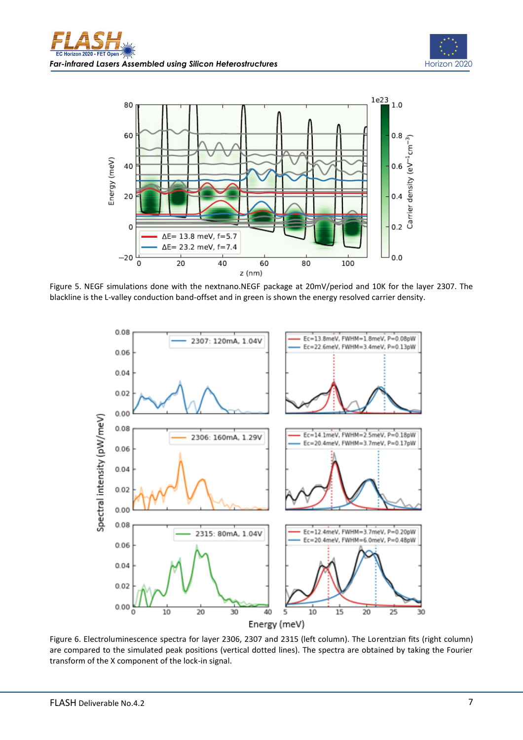



Figure 5. NEGF simulations done with the nextnano.NEGF package at 20mV/period and 10K for the layer 2307. The blackline is the L-valley conduction band-offset and in green is shown the energy resolved carrier density.



Figure 6. Electroluminescence spectra for layer 2306, 2307 and 2315 (left column). The Lorentzian fits (right column) are compared to the simulated peak positions (vertical dotted lines). The spectra are obtained by taking the Fourier transform of the X component of the lock-in signal.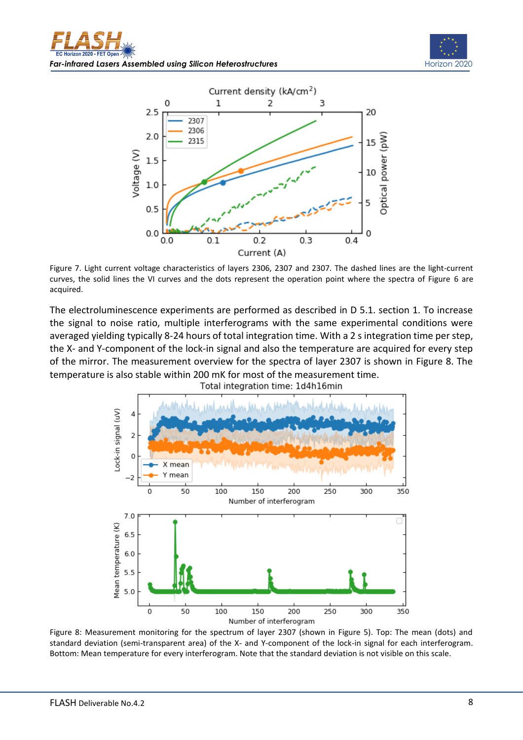



Figure 7. Light current voltage characteristics of layers 2306, 2307 and 2307. The dashed lines are the light-current curves, the solid lines the VI curves and the dots represent the operation point where the spectra of Figure 6 are acquired.

The electroluminescence experiments are performed as described in D 5.1. section 1. To increase the signal to noise ratio, multiple interferograms with the same experimental conditions were averaged yielding typically 8-24 hours of total integration time. With a 2 s integration time per step, the X- and Y-component of the lock-in signal and also the temperature are acquired for every step of the mirror. The measurement overview for the spectra of layer 2307 is shown in Figure 8. The temperature is also stable within 200 mK for most of the measurement time.



Figure 8: Measurement monitoring for the spectrum of layer 2307 (shown in Figure 5). Top: The mean (dots) and standard deviation (semi-transparent area) of the X- and Y-component of the lock-in signal for each interferogram. Bottom: Mean temperature for every interferogram. Note that the standard deviation is not visible on this scale.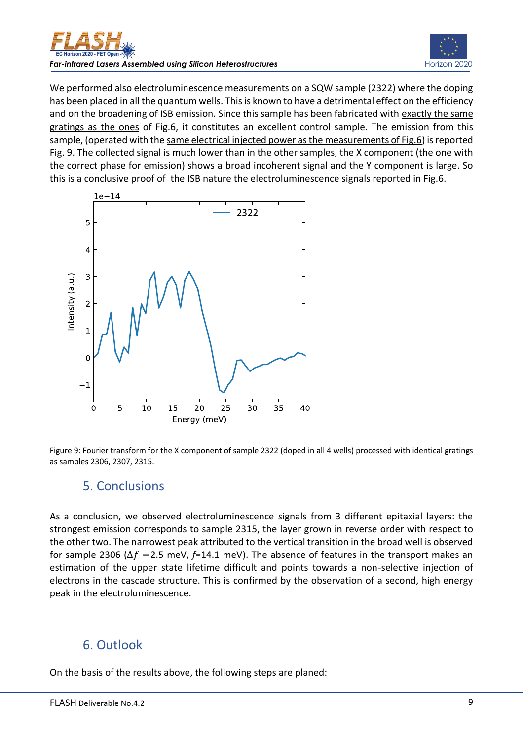



We performed also electroluminescence measurements on a SQW sample (2322) where the doping has been placed in all the quantum wells. This is known to have a detrimental effect on the efficiency and on the broadening of ISB emission. Since this sample has been fabricated with exactly the same gratings as the ones of Fig.6, it constitutes an excellent control sample. The emission from this sample, (operated with the same electrical injected power as the measurements of Fig.6) is reported Fig. 9. The collected signal is much lower than in the other samples, the X component (the one with the correct phase for emission) shows a broad incoherent signal and the Y component is large. So this is a conclusive proof of the ISB nature the electroluminescence signals reported in Fig.6.



<span id="page-8-0"></span>

## 5. Conclusions

As a conclusion, we observed electroluminescence signals from 3 different epitaxial layers: the strongest emission corresponds to sample 2315, the layer grown in reverse order with respect to the other two. The narrowest peak attributed to the vertical transition in the broad well is observed for sample 2306 ( $\Delta f$  =2.5 meV,  $f$ =14.1 meV). The absence of features in the transport makes an estimation of the upper state lifetime difficult and points towards a non-selective injection of electrons in the cascade structure. This is confirmed by the observation of a second, high energy peak in the electroluminescence.

### <span id="page-8-1"></span>6. Outlook

On the basis of the results above, the following steps are planed: